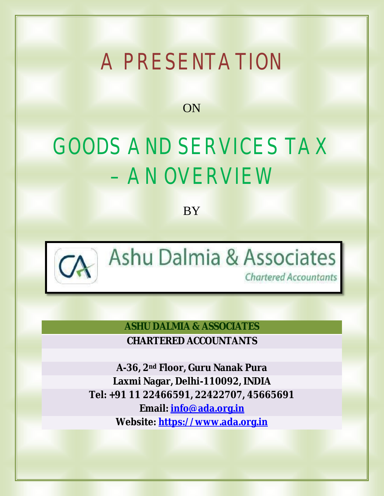# A PRESENTATION

ON

# GOODS AND SERVICES TAX – AN OVERVIEW

**BY** 



Ashu Dalmia & Associates

**Chartered Accountants** 

**ASHU DALMIA & ASSOCIATES CHARTERED ACCOUNTANTS**

**A-36, 2nd Floor, Guru Nanak Pura Laxmi Nagar, Delhi-110092, INDIA Tel: +91 11 22466591, 22422707, 45665691 Email: info@ada.org.in Website: [https://www.ada.org.in](https://www.ada.org.in/)**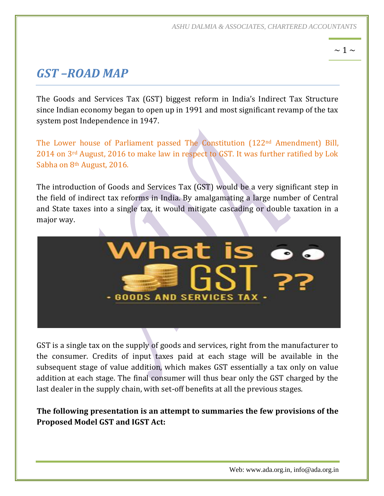*ASHU DALMIA & ASSOCIATES, CHARTERED ACCOUNTANTS*

### $\sim$  1  $\sim$

# *GST –ROAD MAP*

The Goods and Services Tax (GST) biggest reform in India's Indirect Tax Structure since Indian economy began to open up in 1991 and most significant revamp of the tax system post Independence in 1947.

The Lower house of Parliament passed The Constitution (122nd Amendment) Bill, 2014 on 3rd August, 2016 to make law in respect to GST. It was further ratified by Lok Sabha on 8th August, 2016.

The introduction of Goods and Services Tax (GST) would be a very significant step in the field of indirect tax reforms in India. By amalgamating a large number of Central and State taxes into a single tax, it would mitigate cascading or double taxation in a major way.



GST is a single tax on the supply of goods and services, right from the manufacturer to the consumer. Credits of input taxes paid at each stage will be available in the subsequent stage of value addition, which makes GST essentially a tax only on value addition at each stage. The final consumer will thus bear only the GST charged by the last dealer in the supply chain, with set-off benefits at all the previous stages.

**The following presentation is an attempt to summaries the few provisions of the Proposed Model GST and IGST Act:**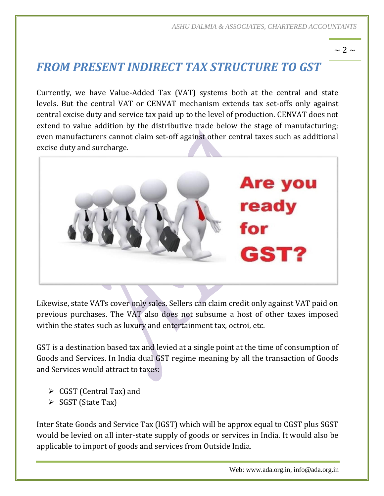#### $\sim$  2  $\sim$

# *FROM PRESENT INDIRECT TAX STRUCTURE TO GST*

Currently, we have Value-Added Tax (VAT) systems both at the central and state levels. But the central VAT or CENVAT mechanism extends tax set-offs only against central excise duty and service tax paid up to the level of production. CENVAT does not extend to value addition by the distributive trade below the stage of manufacturing; even manufacturers cannot claim set-off against other central taxes such as additional excise duty and surcharge.



Likewise, state VATs cover only sales. Sellers can claim credit only against VAT paid on previous purchases. The VAT also does not subsume a host of other taxes imposed within the states such as luxury and entertainment tax, octroi, etc.

GST is a destination based tax and levied at a single point at the time of consumption of Goods and Services. In India dual GST regime meaning by all the transaction of Goods and Services would attract to taxes:

- $\triangleright$  CGST (Central Tax) and
- $\triangleright$  SGST (State Tax)

Inter State Goods and Service Tax (IGST) which will be approx equal to CGST plus SGST would be levied on all inter-state supply of goods or services in India. It would also be applicable to import of goods and services from Outside India.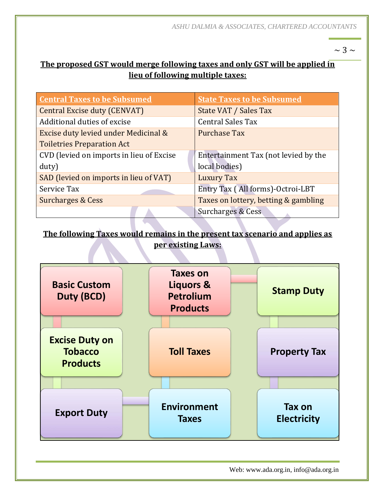$\sim$  3  $\sim$ 

#### **The proposed GST would merge following taxes and only GST will be applied in lieu of following multiple taxes:**

| <b>Central Taxes to be Subsumed</b>      | <b>State Taxes to be Subsumed</b>    |
|------------------------------------------|--------------------------------------|
| Central Excise duty (CENVAT)             | State VAT / Sales Tax                |
| Additional duties of excise              | <b>Central Sales Tax</b>             |
| Excise duty levied under Medicinal &     | <b>Purchase Tax</b>                  |
| <b>Toiletries Preparation Act</b>        |                                      |
| CVD (levied on imports in lieu of Excise | Entertainment Tax (not levied by the |
| duty)                                    | local bodies)                        |
| SAD (levied on imports in lieu of VAT)   | Luxury Tax                           |
| Service Tax                              | Entry Tax (All forms)-Octroi-LBT     |
| <b>Surcharges &amp; Cess</b>             | Taxes on lottery, betting & gambling |
|                                          | Surcharges & Cess                    |

#### **The following Taxes would remains in the present tax scenario and applies as per existing Laws:**



Web: www.ada.org.in, info@ada.org.in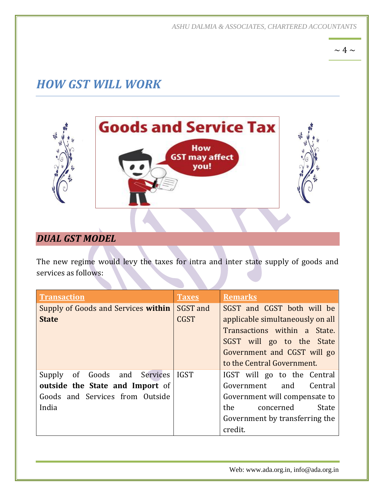*ASHU DALMIA & ASSOCIATES, CHARTERED ACCOUNTANTS*

 $\sim 4 \sim$ 

# *HOW GST WILL WORK*



## *DUAL GST MODEL*

The new regime would levy the taxes for intra and inter state supply of goods and services as follows:

| <b>Transaction</b>                     | <b>Taxes</b> | <b>Remarks</b>                   |
|----------------------------------------|--------------|----------------------------------|
| Supply of Goods and Services within    | SGST and     | SGST and CGST both will be       |
| <b>State</b>                           | <b>CGST</b>  | applicable simultaneously on all |
|                                        |              | Transactions within a State.     |
|                                        |              | SGST will go to the State        |
|                                        |              | Government and CGST will go      |
|                                        |              | to the Central Government.       |
| Supply of Goods and Services           | <b>IGST</b>  | IGST will go to the Central      |
| <b>outside the State and Import of</b> |              | Government and Central           |
| Goods and Services from Outside        |              | Government will compensate to    |
| India                                  |              | the<br>concerned<br><b>State</b> |
|                                        |              | Government by transferring the   |
|                                        |              | credit.                          |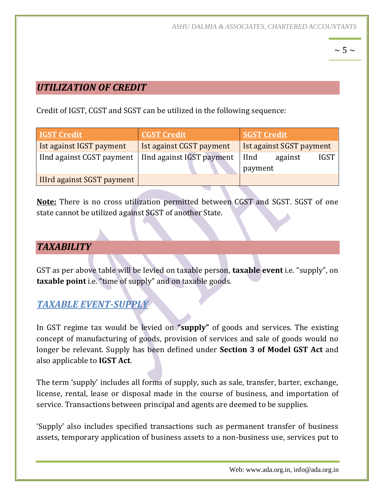## $\sim$  5  $\sim$

#### *UTILIZATION OF CREDIT*

Credit of IGST, CGST and SGST can be utilized in the following sequence:

| <b>IGST Credit</b>         | <b>CGST Credit</b>        | <b>SGST Credit</b>                     |  |
|----------------------------|---------------------------|----------------------------------------|--|
| Ist against IGST payment   | Ist against CGST payment  | Ist against SGST payment               |  |
| IInd against CGST payment  | IInd against IGST payment | <b>I</b> Ind<br><b>IGST</b><br>against |  |
|                            |                           | payment                                |  |
| IIIrd against SGST payment |                           |                                        |  |

**Note:** There is no cross utilization permitted between CGST and SGST. SGST of one state cannot be utilized against SGST of another State.

#### *TAXABILITY*

GST as per above table will be levied on taxable person, **taxable event** i.e. "supply", on **taxable point** i.e. "time of supply" and on taxable goods.

#### *TAXABLE EVENT-SUPPLY*

In GST regime tax would be levied on **"supply"** of goods and services. The existing concept of manufacturing of goods, provision of services and sale of goods would no longer be relevant. Supply has been defined under **Section 3 of Model GST Act** and also applicable to **IGST Act**.

The term 'supply' includes all forms of supply, such as sale, transfer, barter, exchange, license, rental, lease or disposal made in the course of business, and importation of service. Transactions between principal and agents are deemed to be supplies.

'Supply' also includes specified transactions such as permanent transfer of business assets, temporary application of business assets to a non-business use, services put to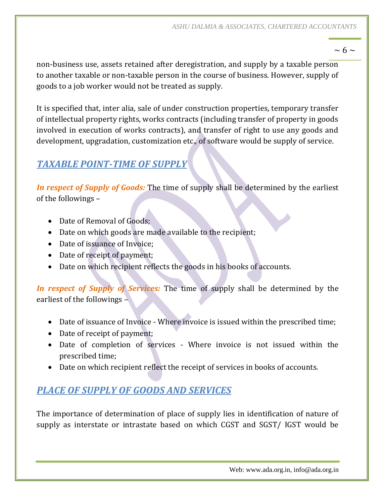$\sim 6 \sim$ 

non-business use, assets retained after deregistration, and supply by a taxable person to another taxable or non-taxable person in the course of business. However, supply of goods to a job worker would not be treated as supply.

It is specified that, inter alia, sale of under construction properties, temporary transfer of intellectual property rights, works contracts (including transfer of property in goods involved in execution of works contracts), and transfer of right to use any goods and development, upgradation, customization etc., of software would be supply of service.

## *TAXABLE POINT-TIME OF SUPPLY*

*In respect of Supply of Goods:* The time of supply shall be determined by the earliest of the followings –

- Date of Removal of Goods:
- Date on which goods are made available to the recipient;
- Date of issuance of Invoice;
- Date of receipt of payment;
- Date on which recipient reflects the goods in his books of accounts.

*In respect of Supply of Services:* The time of supply shall be determined by the earliest of the followings –

- Date of issuance of Invoice Where invoice is issued within the prescribed time;
- Date of receipt of payment;
- Date of completion of services Where invoice is not issued within the prescribed time;
- Date on which recipient reflect the receipt of services in books of accounts.

## *PLACE OF SUPPLY OF GOODS AND SERVICES*

The importance of determination of place of supply lies in identification of nature of supply as interstate or intrastate based on which CGST and SGST/ IGST would be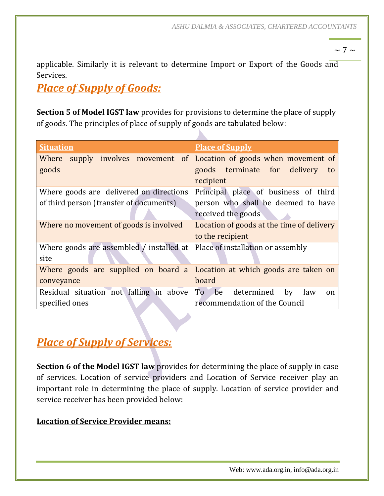$\sim$  7  $\sim$ 

applicable. Similarly it is relevant to determine Import or Export of the Goods and Services.

# *Place of Supply of Goods:*

**Section 5 of Model IGST law** provides for provisions to determine the place of supply of goods. The principles of place of supply of goods are tabulated below:

| <b>Situation</b>                         | <b>Place of Supply</b>                                         |
|------------------------------------------|----------------------------------------------------------------|
| Where                                    | supply involves movement of Location of goods when movement of |
| goods                                    | goods terminate for delivery<br>to                             |
|                                          | recipient                                                      |
| Where goods are delivered on directions  | Principal place of business of third                           |
| of third person (transfer of documents)  | person who shall be deemed to have                             |
|                                          | received the goods                                             |
| Where no movement of goods is involved   | Location of goods at the time of delivery                      |
|                                          | to the recipient                                               |
| Where goods are assembled / installed at | Place of installation or assembly                              |
| site                                     |                                                                |
| Where goods are supplied on board a      | Location at which goods are taken on                           |
| conveyance                               | board                                                          |
| Residual situation not falling in above  | To<br>be<br>determined<br>by<br>law<br>on                      |
| specified ones                           | recommendation of the Council                                  |

# *Place of Supply of Services:*

**Section 6 of the Model IGST law** provides for determining the place of supply in case of services. Location of service providers and Location of Service receiver play an important role in determining the place of supply. Location of service provider and service receiver has been provided below:

#### **Location of Service Provider means:**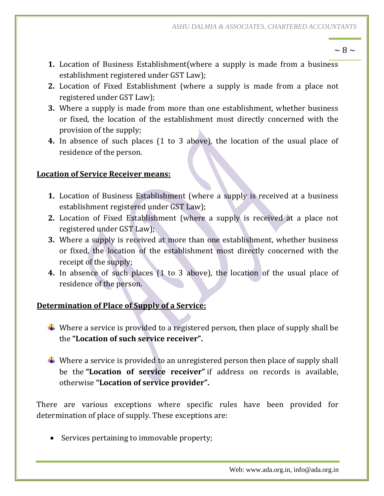$\sim$  8  $\sim$ 

- **1.** Location of Business Establishment(where a supply is made from a business establishment registered under GST Law);
- **2.** Location of Fixed Establishment (where a supply is made from a place not registered under GST Law);
- **3.** Where a supply is made from more than one establishment, whether business or fixed, the location of the establishment most directly concerned with the provision of the supply;
- **4.** In absence of such places (1 to 3 above), the location of the usual place of residence of the person.

#### **Location of Service Receiver means:**

- **1.** Location of Business Establishment (where a supply is received at a business establishment registered under GST Law);
- **2.** Location of Fixed Establishment (where a supply is received at a place not registered under GST Law);
- **3.** Where a supply is received at more than one establishment, whether business or fixed, the location of the establishment most directly concerned with the receipt of the supply;
- **4.** In absence of such places (1 to 3 above), the location of the usual place of residence of the person.

#### **Determination of Place of Supply of a Service:**

- $\ddot{+}$  Where a service is provided to a registered person, then place of supply shall be the **"Location of such service receiver".**
- $\ddot{\bullet}$  Where a service is provided to an unregistered person then place of supply shall be the **"Location of service receiver"** if address on records is available, otherwise **"Location of service provider".**

There are various exceptions where specific rules have been provided for determination of place of supply. These exceptions are:

• Services pertaining to immovable property;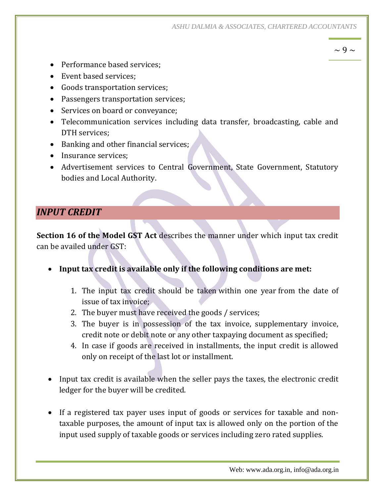*ASHU DALMIA & ASSOCIATES, CHARTERED ACCOUNTANTS*

 $\sim$  9  $\sim$ 

- Performance based services;
- Event based services:
- Goods transportation services;
- Passengers transportation services;
- Services on board or conveyance;
- Telecommunication services including data transfer, broadcasting, cable and DTH services;
- Banking and other financial services;
- Insurance services:
- Advertisement services to Central Government, State Government, Statutory bodies and Local Authority.

#### *INPUT CREDIT*

**Section 16 of the Model GST Act** describes the manner under which input tax credit can be availed under GST:

- **Input tax credit is available only if the following conditions are met:**
	- 1. The input tax credit should be taken within one year from the date of issue of tax invoice;
	- 2. The buyer must have received the goods / services;
	- 3. The buyer is in possession of the tax invoice, supplementary invoice, credit note or debit note or any other taxpaying document as specified;
	- 4. In case if goods are received in installments, the input credit is allowed only on receipt of the last lot or installment.
- Input tax credit is available when the seller pays the taxes, the electronic credit ledger for the buyer will be credited.
- If a registered tax payer uses input of goods or services for taxable and nontaxable purposes, the amount of input tax is allowed only on the portion of the input used supply of taxable goods or services including zero rated supplies.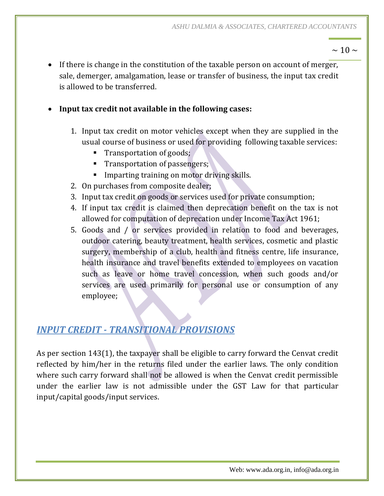$\sim$  10  $\sim$ 

- If there is change in the constitution of the taxable person on account of merger, sale, demerger, amalgamation, lease or transfer of business, the input tax credit is allowed to be transferred.
- **Input tax credit not available in the following cases:**
	- 1. Input tax credit on motor vehicles except when they are supplied in the usual course of business or used for providing following taxable services:
		- **Transportation of goods;**
		- **Transportation of passengers;**
		- **Imparting training on motor driving skills.**
	- 2. On purchases from composite dealer;
	- 3. Input tax credit on goods or services used for private consumption;
	- 4. If input tax credit is claimed then deprecation benefit on the tax is not allowed for computation of deprecation under Income Tax Act 1961;
	- 5. Goods and / or services provided in relation to food and beverages, outdoor catering, beauty treatment, health services, cosmetic and plastic surgery, membership of a club, health and fitness centre, life insurance, health insurance and travel benefits extended to employees on vacation such as leave or home travel concession, when such goods and/or services are used primarily for personal use or consumption of any employee;

# *INPUT CREDIT - TRANSITIONAL PROVISIONS*

As per section 143(1), the taxpayer shall be eligible to carry forward the Cenvat credit reflected by him/her in the returns filed under the earlier laws. The only condition where such carry forward shall not be allowed is when the Cenvat credit permissible under the earlier law is not admissible under the GST Law for that particular input/capital goods/input services.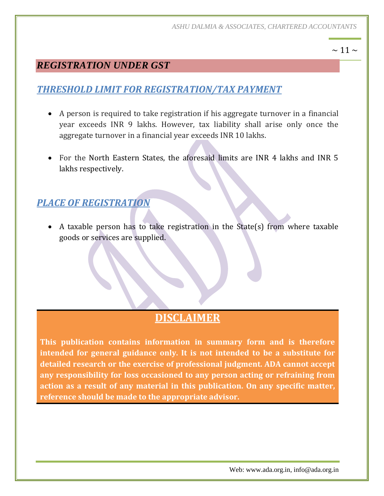#### $\sim$  11  $\sim$

## *REGISTRATION UNDER GST*

# *THRESHOLD LIMIT FOR REGISTRATION/TAX PAYMENT*

- A person is required to take registration if his aggregate turnover in a financial year exceeds INR 9 lakhs. However, tax liability shall arise only once the aggregate turnover in a financial year exceeds INR 10 lakhs.
- For the North Eastern States, the aforesaid limits are INR 4 lakhs and INR 5 lakhs respectively.

## *PLACE OF REGISTRATION*

 A taxable person has to take registration in the State(s) from where taxable goods or services are supplied.

# **DISCLAIMER**

**This publication contains information in summary form and is therefore intended for general guidance only. It is not intended to be a substitute for detailed research or the exercise of professional judgment. ADA cannot accept any responsibility for loss occasioned to any person acting or refraining from action as a result of any material in this publication. On any specific matter, reference should be made to the appropriate advisor.**